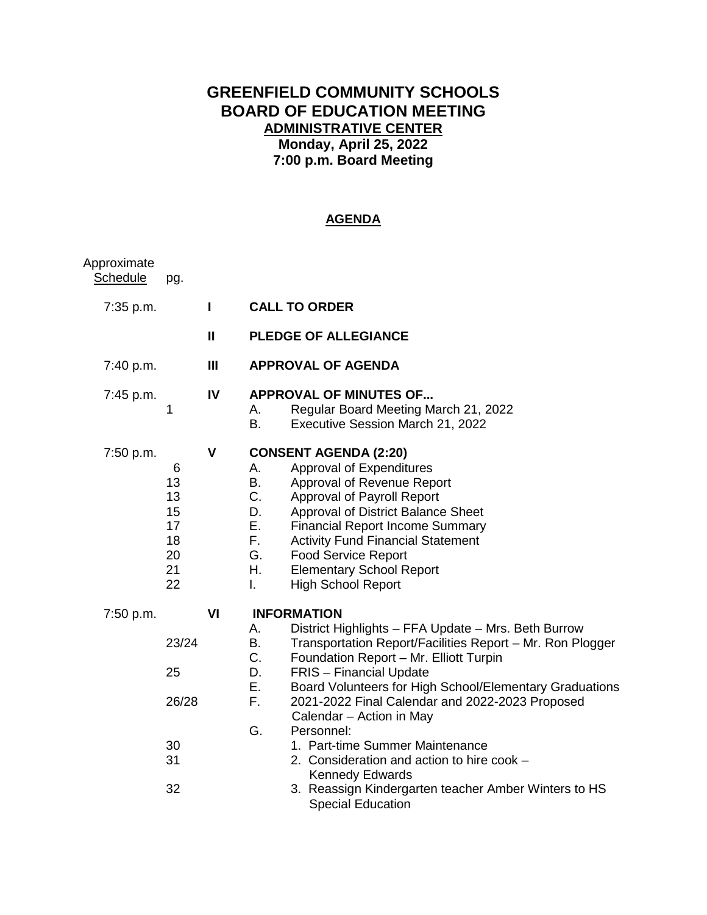# **GREENFIELD COMMUNITY SCHOOLS BOARD OF EDUCATION MEETING ADMINISTRATIVE CENTER Monday, April 25, 2022 7:00 p.m. Board Meeting**

# **AGENDA**

| Approximate<br><b>Schedule</b> | pg.                                               |                |                                                                                                                                                                                                                                                                                                                                                                                                                                                                                                                                                                                                                     |
|--------------------------------|---------------------------------------------------|----------------|---------------------------------------------------------------------------------------------------------------------------------------------------------------------------------------------------------------------------------------------------------------------------------------------------------------------------------------------------------------------------------------------------------------------------------------------------------------------------------------------------------------------------------------------------------------------------------------------------------------------|
| 7:35 p.m.                      |                                                   | L              | <b>CALL TO ORDER</b>                                                                                                                                                                                                                                                                                                                                                                                                                                                                                                                                                                                                |
|                                |                                                   | $\mathbf{I}$   | <b>PLEDGE OF ALLEGIANCE</b>                                                                                                                                                                                                                                                                                                                                                                                                                                                                                                                                                                                         |
| 7:40 p.m.                      |                                                   | $\mathbf{III}$ | <b>APPROVAL OF AGENDA</b>                                                                                                                                                                                                                                                                                                                                                                                                                                                                                                                                                                                           |
| 7:45 p.m.                      | 1                                                 | IV             | <b>APPROVAL OF MINUTES OF</b><br>Regular Board Meeting March 21, 2022<br>А.<br>B.<br>Executive Session March 21, 2022                                                                                                                                                                                                                                                                                                                                                                                                                                                                                               |
| 7:50 p.m.                      | 6<br>13<br>13<br>15<br>17<br>18<br>20<br>21<br>22 | V              | <b>CONSENT AGENDA (2:20)</b><br>Approval of Expenditures<br>Α.<br>Approval of Revenue Report<br>В.<br>C.<br>Approval of Payroll Report<br>D.<br>Approval of District Balance Sheet<br>Е.<br><b>Financial Report Income Summary</b><br>F.<br><b>Activity Fund Financial Statement</b><br>G.<br><b>Food Service Report</b><br>Η.<br><b>Elementary School Report</b><br><b>High School Report</b><br>I.                                                                                                                                                                                                                |
| 7:50 p.m.                      | 23/24<br>25<br>26/28<br>30<br>31<br>32            | VI             | <b>INFORMATION</b><br>District Highlights - FFA Update - Mrs. Beth Burrow<br>А.<br>Β.<br>Transportation Report/Facilities Report - Mr. Ron Plogger<br>C.<br>Foundation Report - Mr. Elliott Turpin<br>D.<br><b>FRIS</b> - Financial Update<br>Ε.<br>Board Volunteers for High School/Elementary Graduations<br>F.<br>2021-2022 Final Calendar and 2022-2023 Proposed<br>Calendar - Action in May<br>G.<br>Personnel:<br>1. Part-time Summer Maintenance<br>2. Consideration and action to hire cook -<br><b>Kennedy Edwards</b><br>3. Reassign Kindergarten teacher Amber Winters to HS<br><b>Special Education</b> |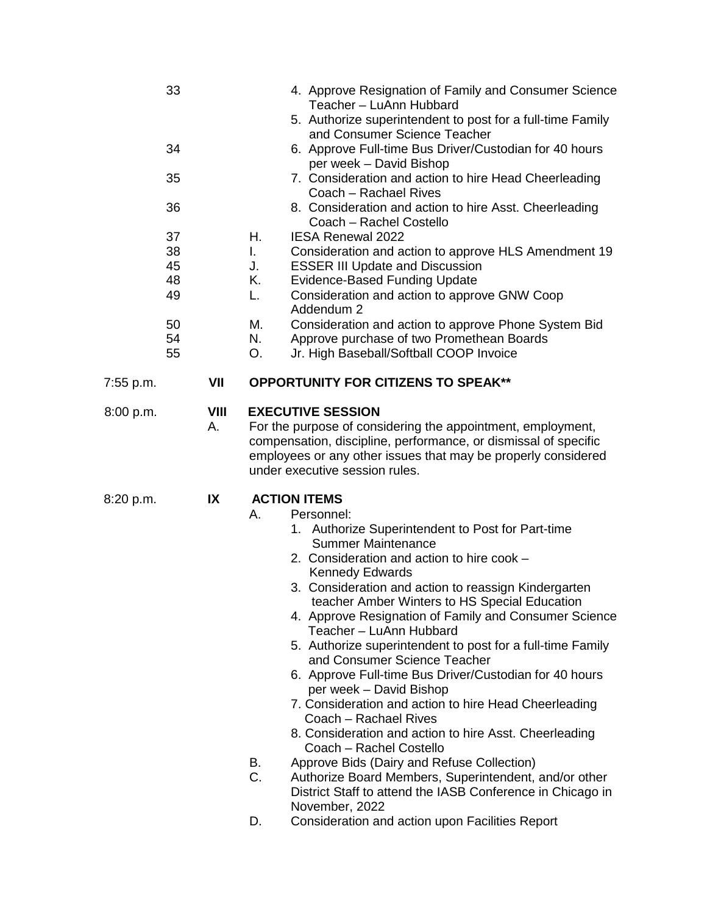| 33<br>34<br>35<br>36<br>37<br>38<br>45<br>48<br>49<br>50<br>54 |            | 4. Approve Resignation of Family and Consumer Science<br>Teacher - LuAnn Hubbard<br>5. Authorize superintendent to post for a full-time Family<br>and Consumer Science Teacher<br>6. Approve Full-time Bus Driver/Custodian for 40 hours<br>per week - David Bishop<br>7. Consideration and action to hire Head Cheerleading<br>Coach - Rachael Rives<br>8. Consideration and action to hire Asst. Cheerleading<br>Coach - Rachel Costello<br>Η.<br><b>IESA Renewal 2022</b><br>$\mathbf{L}$<br>Consideration and action to approve HLS Amendment 19<br>J.<br><b>ESSER III Update and Discussion</b><br>Κ.<br><b>Evidence-Based Funding Update</b><br>Consideration and action to approve GNW Coop<br>L.<br>Addendum 2<br>Consideration and action to approve Phone System Bid<br>М.<br>Approve purchase of two Promethean Boards<br>N.                                                                                                                                                                              |
|----------------------------------------------------------------|------------|----------------------------------------------------------------------------------------------------------------------------------------------------------------------------------------------------------------------------------------------------------------------------------------------------------------------------------------------------------------------------------------------------------------------------------------------------------------------------------------------------------------------------------------------------------------------------------------------------------------------------------------------------------------------------------------------------------------------------------------------------------------------------------------------------------------------------------------------------------------------------------------------------------------------------------------------------------------------------------------------------------------------|
| 55                                                             |            | Jr. High Baseball/Softball COOP Invoice<br>O.                                                                                                                                                                                                                                                                                                                                                                                                                                                                                                                                                                                                                                                                                                                                                                                                                                                                                                                                                                        |
| 7:55 p.m.                                                      | VII        | <b>OPPORTUNITY FOR CITIZENS TO SPEAK**</b>                                                                                                                                                                                                                                                                                                                                                                                                                                                                                                                                                                                                                                                                                                                                                                                                                                                                                                                                                                           |
| 8:00 p.m.                                                      | VIII<br>Α. | <b>EXECUTIVE SESSION</b><br>For the purpose of considering the appointment, employment,<br>compensation, discipline, performance, or dismissal of specific<br>employees or any other issues that may be properly considered<br>under executive session rules.                                                                                                                                                                                                                                                                                                                                                                                                                                                                                                                                                                                                                                                                                                                                                        |
| 8:20 p.m.                                                      | IX         | <b>ACTION ITEMS</b><br>Α.<br>Personnel:<br>1. Authorize Superintendent to Post for Part-time<br><b>Summer Maintenance</b><br>2. Consideration and action to hire cook -<br><b>Kennedy Edwards</b><br>3. Consideration and action to reassign Kindergarten<br>teacher Amber Winters to HS Special Education<br>4. Approve Resignation of Family and Consumer Science<br>Teacher - LuAnn Hubbard<br>5. Authorize superintendent to post for a full-time Family<br>and Consumer Science Teacher<br>6. Approve Full-time Bus Driver/Custodian for 40 hours<br>per week – David Bishop<br>7. Consideration and action to hire Head Cheerleading<br>Coach - Rachael Rives<br>8. Consideration and action to hire Asst. Cheerleading<br>Coach - Rachel Costello<br>Approve Bids (Dairy and Refuse Collection)<br>В.<br>C.<br>Authorize Board Members, Superintendent, and/or other<br>District Staff to attend the IASB Conference in Chicago in<br>November, 2022<br>Consideration and action upon Facilities Report<br>D. |